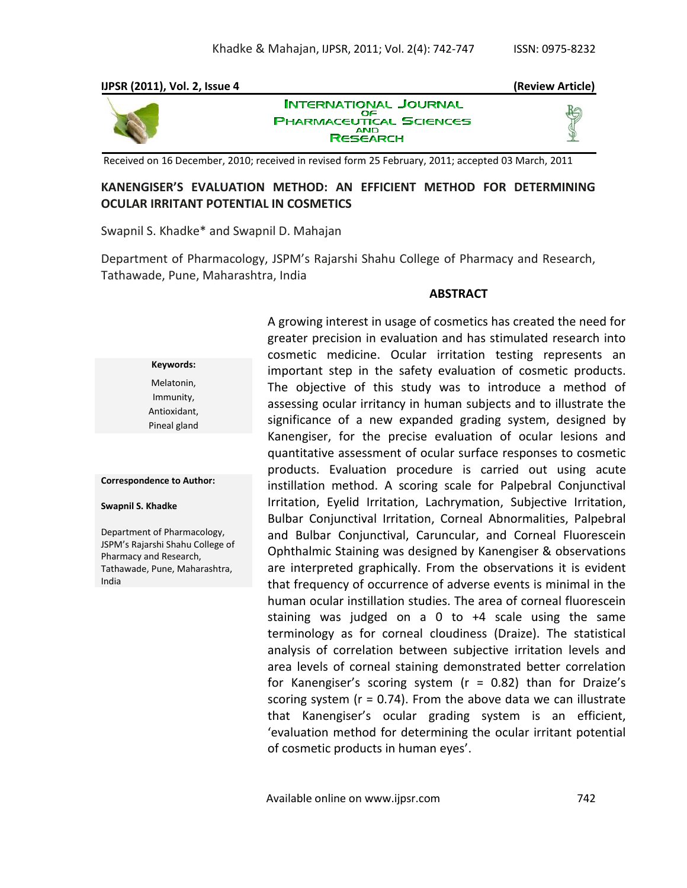

Received on 16 December, 2010; received in revised form 25 February, 2011; accepted 03 March, 2011

### **KANENGISER'S EVALUATION METHOD: AN EFFICIENT METHOD FOR DETERMINING OCULAR IRRITANT POTENTIAL IN COSMETICS**

Swapnil S. Khadke\* and Swapnil D. Mahajan

Department of Pharmacology, JSPM's Rajarshi Shahu College of Pharmacy and Research, Tathawade, Pune, Maharashtra, India

#### **ABSTRACT**

**Keywords:** Melatonin, Immunity, Antioxidant, Pineal gland

**Correspondence to Author:**

**Swapnil S. Khadke**

Department of Pharmacology, JSPM's Rajarshi Shahu College of Pharmacy and Research, Tathawade, Pune, Maharashtra, India

A growing interest in usage of cosmetics has created the need for greater precision in evaluation and has stimulated research into cosmetic medicine. Ocular irritation testing represents an important step in the safety evaluation of cosmetic products. The objective of this study was to introduce a method of assessing ocular irritancy in human subjects and to illustrate the significance of a new expanded grading system, designed by Kanengiser, for the precise evaluation of ocular lesions and quantitative assessment of ocular surface responses to cosmetic products. Evaluation procedure is carried out using acute instillation method. A scoring scale for Palpebral Conjunctival Irritation, Eyelid Irritation, Lachrymation, Subjective Irritation, Bulbar Conjunctival Irritation, Corneal Abnormalities, Palpebral and Bulbar Conjunctival, Caruncular, and Corneal Fluorescein Ophthalmic Staining was designed by Kanengiser & observations are interpreted graphically. From the observations it is evident that frequency of occurrence of adverse events is minimal in the human ocular instillation studies. The area of corneal fluorescein staining was judged on a 0 to +4 scale using the same terminology as for corneal cloudiness (Draize). The statistical analysis of correlation between subjective irritation levels and area levels of corneal staining demonstrated better correlation for Kanengiser's scoring system (r = 0.82) than for Draize's scoring system  $(r = 0.74)$ . From the above data we can illustrate that Kanengiser's ocular grading system is an efficient, 'evaluation method for determining the ocular irritant potential of cosmetic products in human eyes'.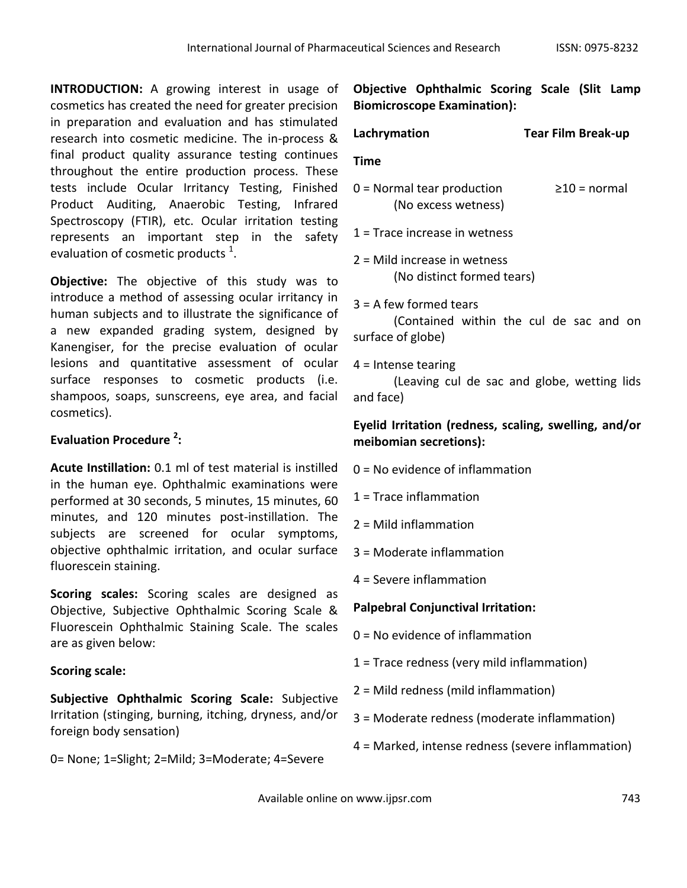**INTRODUCTION:** A growing interest in usage of cosmetics has created the need for greater precision in preparation and evaluation and has stimulated research into cosmetic medicine. The in-process & final product quality assurance testing continues throughout the entire production process. These tests include Ocular Irritancy Testing, Finished Product Auditing, Anaerobic Testing, Infrared Spectroscopy (FTIR), etc. Ocular irritation testing represents an important step in the safety evaluation of cosmetic products  $^1$ .

**Objective:** The objective of this study was to introduce a method of assessing ocular irritancy in human subjects and to illustrate the significance of a new expanded grading system, designed by Kanengiser, for the precise evaluation of ocular lesions and quantitative assessment of ocular surface responses to cosmetic products (i.e. shampoos, soaps, sunscreens, eye area, and facial cosmetics).

# **Evaluation Procedure <sup>2</sup> :**

**Acute Instillation:** 0.1 ml of test material is instilled in the human eye. Ophthalmic examinations were performed at 30 seconds, 5 minutes, 15 minutes, 60 minutes, and 120 minutes post-instillation. The subjects are screened for ocular symptoms, objective ophthalmic irritation, and ocular surface fluorescein staining.

**Scoring scales:** Scoring scales are designed as Objective, Subjective Ophthalmic Scoring Scale & Fluorescein Ophthalmic Staining Scale. The scales are as given below:

# **Scoring scale:**

**Subjective Ophthalmic Scoring Scale:** Subjective Irritation (stinging, burning, itching, dryness, and/or foreign body sensation)

0= None; 1=Slight; 2=Mild; 3=Moderate; 4=Severe

**Objective Ophthalmic Scoring Scale (Slit Lamp Biomicroscope Examination):**

**Lachrymation Tear Film Break-up**

# **Time**

 $0 =$  Normal tear production  $\geq 10 =$  normal (No excess wetness)

1 = Trace increase in wetness

2 = Mild increase in wetness (No distinct formed tears)

3 = A few formed tears

(Contained within the cul de sac and on surface of globe)

## $4$  = Intense tearing

(Leaving cul de sac and globe, wetting lids and face)

# **Eyelid Irritation (redness, scaling, swelling, and/or meibomian secretions):**

0 = No evidence of inflammation

1 = Trace inflammation

2 = Mild inflammation

3 = Moderate inflammation

4 = Severe inflammation

# **Palpebral Conjunctival Irritation:**

- 0 = No evidence of inflammation
- 1 = Trace redness (very mild inflammation)
- 2 = Mild redness (mild inflammation)
- 3 = Moderate redness (moderate inflammation)
- 4 = Marked, intense redness (severe inflammation)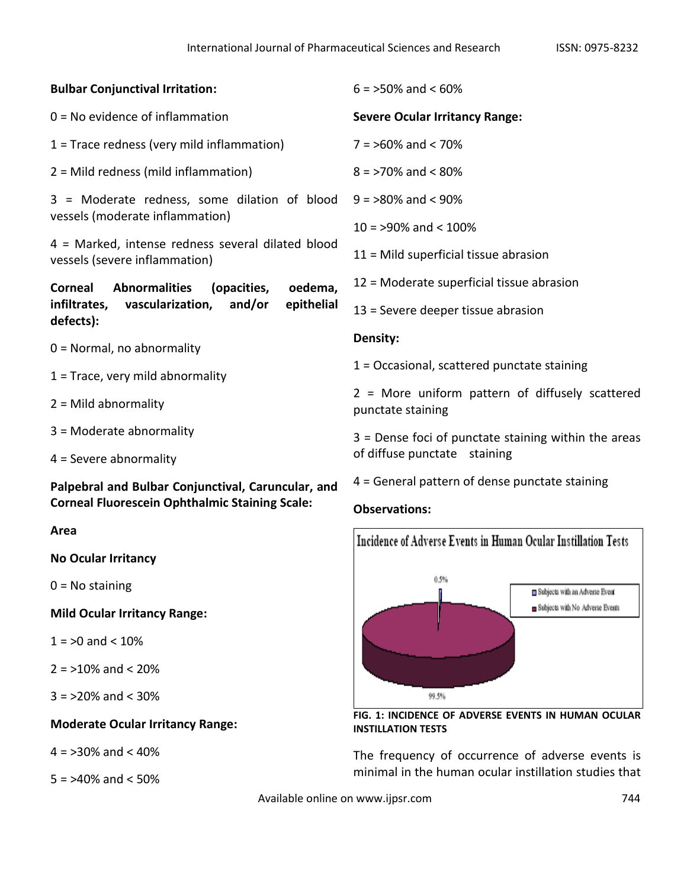| <b>Bulbar Conjunctival Irritation:</b>                                                                      | $6 = 50\%$ and $< 60\%$                                                          |
|-------------------------------------------------------------------------------------------------------------|----------------------------------------------------------------------------------|
| $0 = No$ evidence of inflammation                                                                           | <b>Severe Ocular Irritancy Range:</b>                                            |
| $1 =$ Trace redness (very mild inflammation)                                                                | $7 = 50\%$ and < 70%                                                             |
| $2 =$ Mild redness (mild inflammation)                                                                      | $8 = 270\%$ and $< 80\%$                                                         |
| 3 = Moderate redness, some dilation of blood                                                                | $9 = 80\%$ and < 90%                                                             |
| vessels (moderate inflammation)                                                                             | $10 = 90\%$ and < $100\%$                                                        |
| 4 = Marked, intense redness several dilated blood<br>vessels (severe inflammation)                          | $11$ = Mild superficial tissue abrasion                                          |
| <b>Abnormalities</b><br><b>Corneal</b><br>(opacities,<br>oedema,                                            | 12 = Moderate superficial tissue abrasion                                        |
| infiltrates,<br>vascularization,<br>and/or<br>epithelial<br>defects):                                       | $13$ = Severe deeper tissue abrasion                                             |
| $0 =$ Normal, no abnormality                                                                                | Density:                                                                         |
| $1 =$ Trace, very mild abnormality                                                                          | $1 =$ Occasional, scattered punctate staining                                    |
| $2 =$ Mild abnormality                                                                                      | 2 = More uniform pattern of diffusely scattered<br>punctate staining             |
| $3$ = Moderate abnormality                                                                                  | $3$ = Dense foci of punctate staining within the areas                           |
| $4 =$ Severe abnormality                                                                                    | of diffuse punctate staining                                                     |
| Palpebral and Bulbar Conjunctival, Caruncular, and<br><b>Corneal Fluorescein Ophthalmic Staining Scale:</b> | 4 = General pattern of dense punctate staining<br><b>Observations:</b>           |
| Area                                                                                                        | Incidence of Adverse Events in Human Ocular Instillation Tests                   |
| <b>No Ocular Irritancy</b>                                                                                  |                                                                                  |
| $0 = No$ staining                                                                                           | 0.5%<br>Subjects with an Adverse Event                                           |
| <b>Mild Ocular Irritancy Range:</b>                                                                         | Subjects with No Adverse Events                                                  |
| $1 = 50$ and $< 10\%$                                                                                       |                                                                                  |
| $2 = 10\%$ and < 20%                                                                                        |                                                                                  |
| $3 = 20\%$ and < 30%                                                                                        | 99.5%                                                                            |
| <b>Moderate Ocular Irritancy Range:</b>                                                                     | FIG. 1: INCIDENCE OF ADVERSE EVENTS IN HUMAN OCULAR<br><b>INSTILLATION TESTS</b> |
| $4 = 30\%$ and < 40%                                                                                        | The frequency of occurrence of adverse events is                                 |
|                                                                                                             | minimal in the human ocular instillation studies that                            |

 $5 = 240\%$  and  $< 50\%$ 

Available online on www.ijpsr.com **744**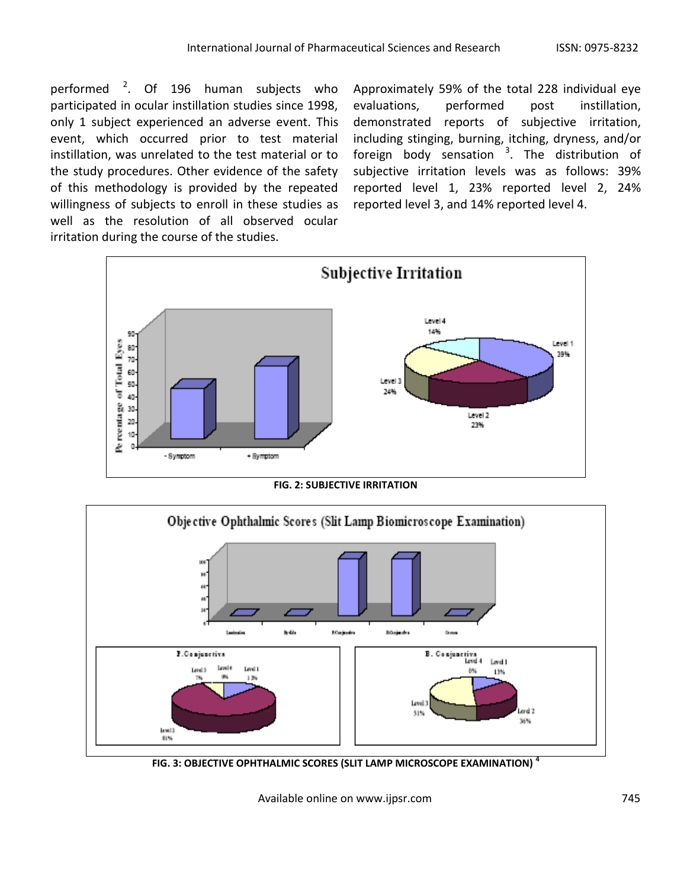performed <sup>2</sup>. Of 196 human subjects who participated in ocular instillation studies since 1998, only 1 subject experienced an adverse event. This event, which occurred prior to test material instillation, was unrelated to the test material or to the study procedures. Other evidence of the safety of this methodology is provided by the repeated willingness of subjects to enroll in these studies as well as the resolution of all observed ocular irritation during the course of the studies.

Approximately 59% of the total 228 individual eye evaluations, performed post instillation, demonstrated reports of subjective irritation, including stinging, burning, itching, dryness, and/or foreign body sensation <sup>3</sup>. The distribution of subjective irritation levels was as follows: 39% reported level 1, 23% reported level 2, 24% reported level 3, and 14% reported level 4.



**FIG. 2: SUBJECTIVE IRRITATION** 



**FIG. 3: OBJECTIVE OPHTHALMIC SCORES (SLIT LAMP MICROSCOPE EXAMINATION) <sup>4</sup>**

Available online on www.ijpsr.com 745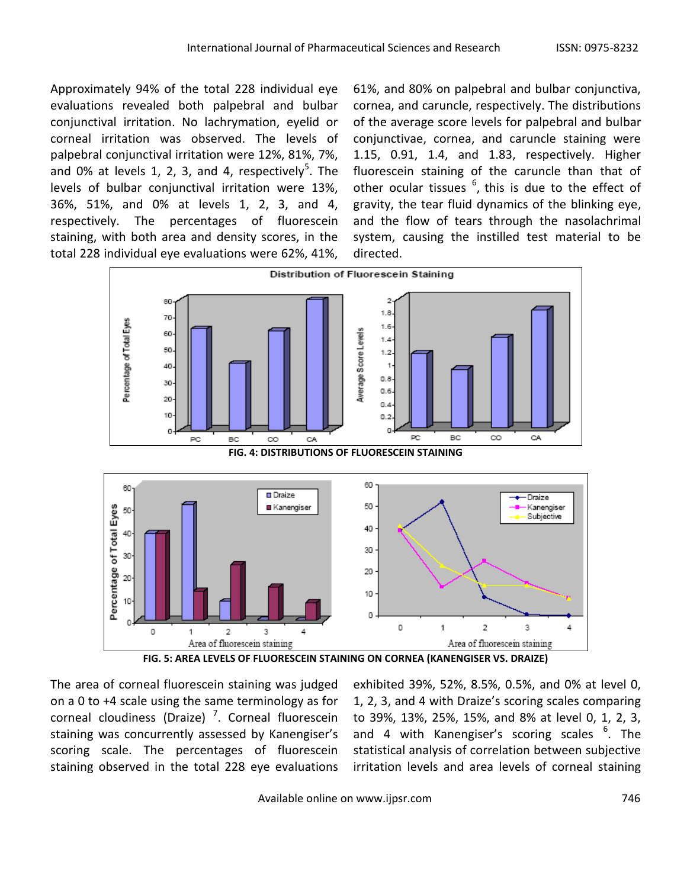Approximately 94% of the total 228 individual eye evaluations revealed both palpebral and bulbar conjunctival irritation. No lachrymation, eyelid or corneal irritation was observed. The levels of palpebral conjunctival irritation were 12%, 81%, 7%, and 0% at levels 1, 2, 3, and 4, respectively<sup>5</sup>. The levels of bulbar conjunctival irritation were 13%, 36%, 51%, and 0% at levels 1, 2, 3, and 4, respectively. The percentages of fluorescein staining, with both area and density scores, in the total 228 individual eye evaluations were 62%, 41%,

61%, and 80% on palpebral and bulbar conjunctiva, cornea, and caruncle, respectively. The distributions of the average score levels for palpebral and bulbar conjunctivae, cornea, and caruncle staining were 1.15, 0.91, 1.4, and 1.83, respectively. Higher fluorescein staining of the caruncle than that of other ocular tissues  $^6$ , this is due to the effect of gravity, the tear fluid dynamics of the blinking eye, and the flow of tears through the nasolachrimal system, causing the instilled test material to be directed.



**FIG. 5: AREA LEVELS OF FLUORESCEIN STAINING ON CORNEA (KANENGISER VS. DRAIZE)**

The area of corneal fluorescein staining was judged on a 0 to +4 scale using the same terminology as for corneal cloudiness (Draize)<sup>7</sup>. Corneal fluorescein staining was concurrently assessed by Kanengiser's scoring scale. The percentages of fluorescein staining observed in the total 228 eye evaluations

exhibited 39%, 52%, 8.5%, 0.5%, and 0% at level 0, 1, 2, 3, and 4 with Draize's scoring scales comparing to 39%, 13%, 25%, 15%, and 8% at level 0, 1, 2, 3, and 4 with Kanengiser's scoring scales <sup>6</sup>. The statistical analysis of correlation between subjective irritation levels and area levels of corneal staining